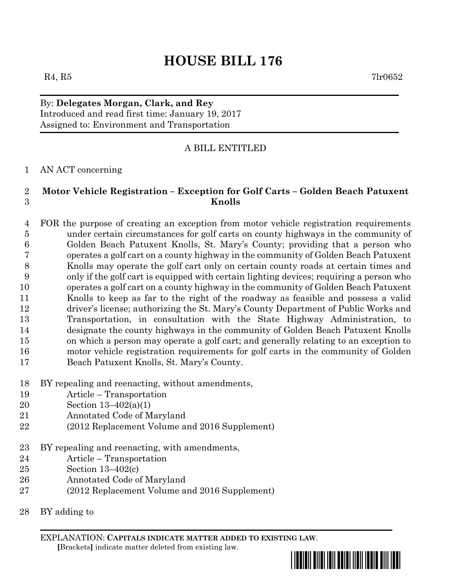# **HOUSE BILL 176**

 $R_4, R_5$  7lr0652

By: **Delegates Morgan, Clark, and Rey** Introduced and read first time: January 19, 2017 Assigned to: Environment and Transportation

## A BILL ENTITLED

#### AN ACT concerning

### **Motor Vehicle Registration – Exception for Golf Carts – Golden Beach Patuxent Knolls**

 FOR the purpose of creating an exception from motor vehicle registration requirements under certain circumstances for golf carts on county highways in the community of Golden Beach Patuxent Knolls, St. Mary's County; providing that a person who operates a golf cart on a county highway in the community of Golden Beach Patuxent Knolls may operate the golf cart only on certain county roads at certain times and only if the golf cart is equipped with certain lighting devices; requiring a person who operates a golf cart on a county highway in the community of Golden Beach Patuxent Knolls to keep as far to the right of the roadway as feasible and possess a valid driver's license; authorizing the St. Mary's County Department of Public Works and Transportation, in consultation with the State Highway Administration, to designate the county highways in the community of Golden Beach Patuxent Knolls on which a person may operate a golf cart; and generally relating to an exception to motor vehicle registration requirements for golf carts in the community of Golden Beach Patuxent Knolls, St. Mary's County.

- BY repealing and reenacting, without amendments,
- Article Transportation
- Section 13–402(a)(1)
- Annotated Code of Maryland
- (2012 Replacement Volume and 2016 Supplement)
- BY repealing and reenacting, with amendments,
- Article Transportation
- Section 13–402(c)
- Annotated Code of Maryland
- (2012 Replacement Volume and 2016 Supplement)
- BY adding to

EXPLANATION: **CAPITALS INDICATE MATTER ADDED TO EXISTING LAW**.  **[**Brackets**]** indicate matter deleted from existing law.

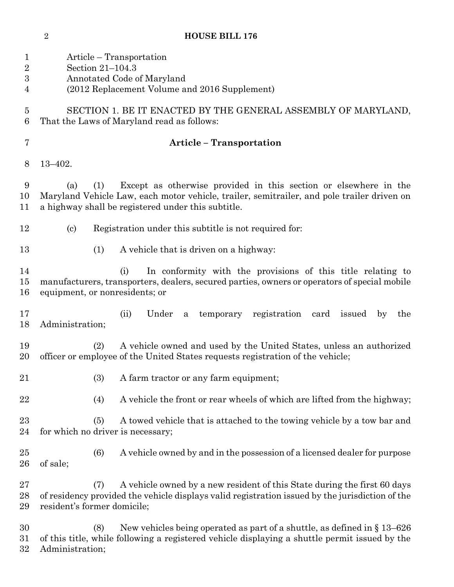**HOUSE BILL 176**

| $\mathbf 1$<br>$\overline{2}$<br>$\boldsymbol{3}$<br>4 | Article – Transportation<br>Section $21-104.3$<br>Annotated Code of Maryland<br>(2012 Replacement Volume and 2016 Supplement)                                                                                                      |
|--------------------------------------------------------|------------------------------------------------------------------------------------------------------------------------------------------------------------------------------------------------------------------------------------|
| $\overline{5}$<br>6                                    | SECTION 1. BE IT ENACTED BY THE GENERAL ASSEMBLY OF MARYLAND,<br>That the Laws of Maryland read as follows:                                                                                                                        |
| 7                                                      | <b>Article - Transportation</b>                                                                                                                                                                                                    |
| 8                                                      | $13 - 402.$                                                                                                                                                                                                                        |
| 9<br>10<br>11                                          | Except as otherwise provided in this section or elsewhere in the<br>(a)<br>(1)<br>Maryland Vehicle Law, each motor vehicle, trailer, semitrailer, and pole trailer driven on<br>a highway shall be registered under this subtitle. |
| 12                                                     | Registration under this subtitle is not required for:<br>$\left( \mathrm{c}\right)$                                                                                                                                                |
| 13                                                     | A vehicle that is driven on a highway:<br>(1)                                                                                                                                                                                      |
| 14<br>15<br>16                                         | In conformity with the provisions of this title relating to<br>(i)<br>manufacturers, transporters, dealers, secured parties, owners or operators of special mobile<br>equipment, or nonresidents; or                               |
| 17<br>18                                               | Under<br>(ii)<br>registration card issued<br>temporary<br>$\rm{a}$<br>by<br>the<br>Administration;                                                                                                                                 |
| 19<br>20                                               | A vehicle owned and used by the United States, unless an authorized<br>(2)<br>officer or employee of the United States requests registration of the vehicle;                                                                       |
| $^{21}$                                                | A farm tractor or any farm equipment;<br>(3)                                                                                                                                                                                       |
| 22                                                     | A vehicle the front or rear wheels of which are lifted from the highway;<br>(4)                                                                                                                                                    |
| 23<br>24                                               | A towed vehicle that is attached to the towing vehicle by a tow bar and<br>(5)<br>for which no driver is necessary;                                                                                                                |
| $25\,$<br>26                                           | A vehicle owned by and in the possession of a licensed dealer for purpose<br>(6)<br>of sale;                                                                                                                                       |
| $27\,$<br>28<br>29                                     | A vehicle owned by a new resident of this State during the first 60 days<br>(7)<br>of residency provided the vehicle displays valid registration issued by the jurisdiction of the<br>resident's former domicile;                  |
| 30<br>$31\,$                                           | New vehicles being operated as part of a shuttle, as defined in $\S 13-626$<br>(8)<br>of this title, while following a registered vehicle displaying a shuttle permit issued by the                                                |

Administration;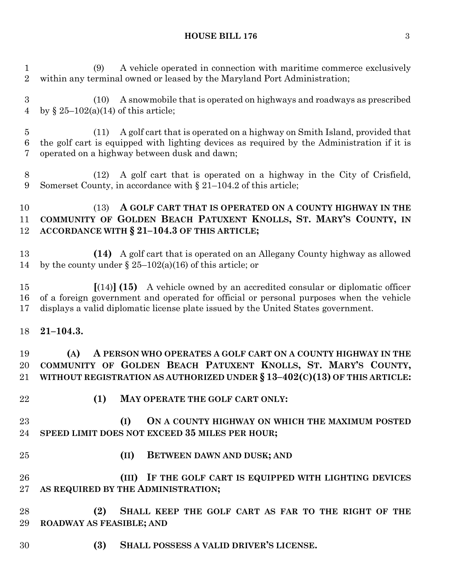#### **HOUSE BILL 176** 3

 (9) A vehicle operated in connection with maritime commerce exclusively within any terminal owned or leased by the Maryland Port Administration; (10) A snowmobile that is operated on highways and roadways as prescribed 4 by  $\sqrt{25-102(a)(14)}$  of this article; (11) A golf cart that is operated on a highway on Smith Island, provided that the golf cart is equipped with lighting devices as required by the Administration if it is operated on a highway between dusk and dawn; (12) A golf cart that is operated on a highway in the City of Crisfield, Somerset County, in accordance with § 21–104.2 of this article; (13) **A GOLF CART THAT IS OPERATED ON A COUNTY HIGHWAY IN THE COMMUNITY OF GOLDEN BEACH PATUXENT KNOLLS, ST. MARY'S COUNTY, IN ACCORDANCE WITH § 21–104.3 OF THIS ARTICLE; (14)** A golf cart that is operated on an Allegany County highway as allowed 14 by the county under  $\S 25-102(a)(16)$  of this article; or **[**(14)**] (15)** A vehicle owned by an accredited consular or diplomatic officer of a foreign government and operated for official or personal purposes when the vehicle displays a valid diplomatic license plate issued by the United States government. **21–104.3. (A) A PERSON WHO OPERATES A GOLF CART ON A COUNTY HIGHWAY IN THE COMMUNITY OF GOLDEN BEACH PATUXENT KNOLLS, ST. MARY'S COUNTY, WITHOUT REGISTRATION AS AUTHORIZED UNDER § 13–402(C)(13) OF THIS ARTICLE: (1) MAY OPERATE THE GOLF CART ONLY: (I) ON A COUNTY HIGHWAY ON WHICH THE MAXIMUM POSTED SPEED LIMIT DOES NOT EXCEED 35 MILES PER HOUR; (II) BETWEEN DAWN AND DUSK; AND (III) IF THE GOLF CART IS EQUIPPED WITH LIGHTING DEVICES AS REQUIRED BY THE ADMINISTRATION; (2) SHALL KEEP THE GOLF CART AS FAR TO THE RIGHT OF THE ROADWAY AS FEASIBLE; AND (3) SHALL POSSESS A VALID DRIVER'S LICENSE.**